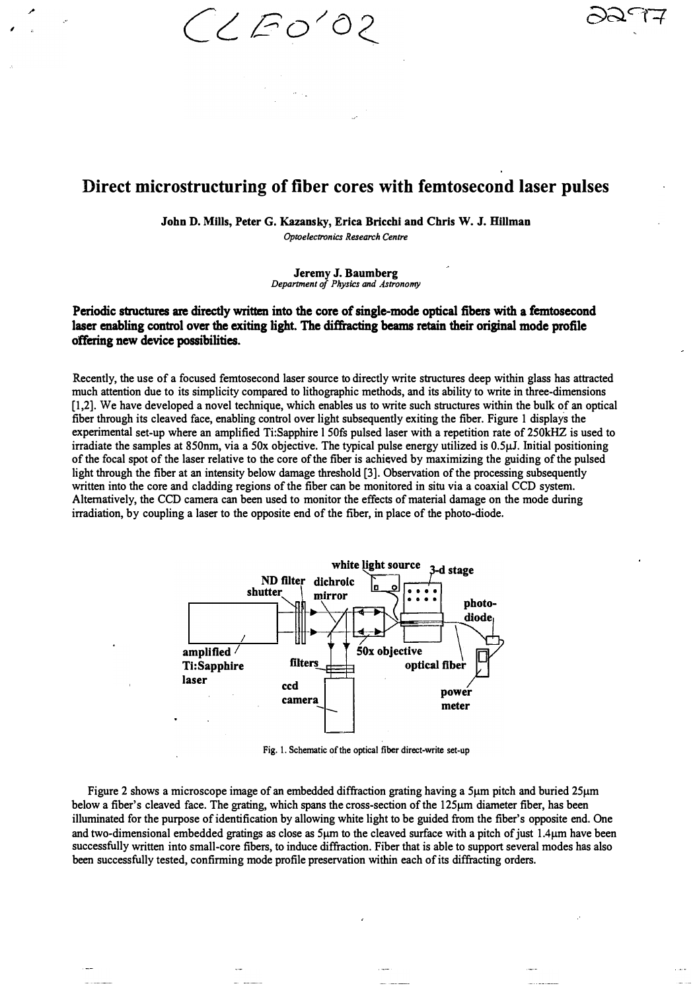$\angle$  EO'O

,

## **Direct microstructuring of fiber cores with femtosecond laser pulses**

**John D. Mills, Peter G. Kazansky, Erica Bricchi and Chris W. J. ffillman**  *Optoelectronics Research Centre*

> **Jeremy J. Baumberg**  *Department of Physics and Astronomy*

## Periodic structures are directly written into the core of single-mode optical fibers with a femtosecond laser enabling control over the exiting light. The diffracting beams retain their original mode profile offering new device possibilities.

Recently, the use of a focused femtosecond laser source to directly write structures deep within glass has attracted much attention due to its simplicity compared to lithographic methods, and its ability to write in three-dimensions [1,2]. We have developed a novel technique, which enables us to write such structures within the bulk of an optical fiber through its cleaved face, enabling control over light subsequently exiting the fiber. Figure 1 displays the experimental set-up where an amplified Ti:Sapphire l SOfs pulsed laser with a repetition rate of 250kHZ is used to irradiate the samples at 850nm, via a 50x objective. The typical pulse energy utilized is 0.5µJ. Initial positioning of the focal spot of the laser relative to the core of the fiber is achieved by maximizing the guiding of the pulsed light through the fiber at an intensity below damage threshold [3]. Observation of the processing subsequently written into the core and cladding regions of the fiber can be monitored in situ via a coaxial CCD system. Alternatively, the CCD camera can been used to monitor the effects of material damage on the mode during irradiation, by coupling a laser to the opposite end of the fiber, in place of the photo-diode.



**Fig. I. Schematic of the optical fiber direct-write set-up** 

Figure 2 shows a microscope image of an embedded diffraction grating having a 5µm pitch and buried 25µm below a fiber's cleaved face. The grating, which spans the cross-section of the 125µm diameter fiber, has been illuminated for the purpose of identification by allowing white light to be guided from the fiber's opposite end. One and two-dimensional embedded gratings as close as  $5\mu$ m to the cleaved surface with a pitch of just 1.4 $\mu$ m have been successfully written into small-core fibers, to induce diffraction. Fiber that is able to support several modes has also been successfully tested, confirming mode profile preservation within each of its diffracting orders.